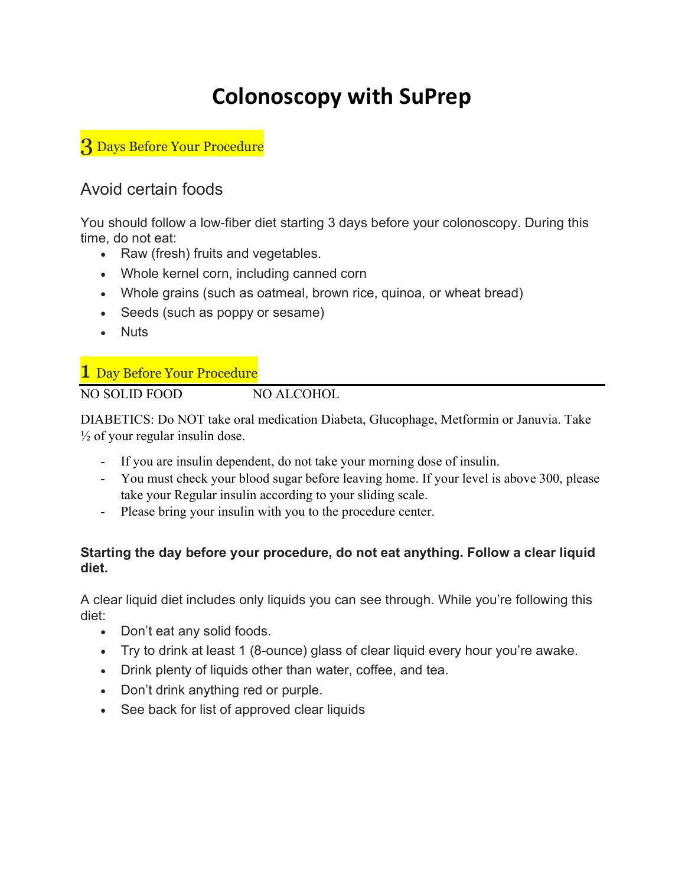# Colonoscopy with SuPrep

3 Days Before Your Procedure

## Avoid certain foods

You should follow a low-fiber diet starting 3 days before your colonoscopy. During this time, do not eat:

- Raw (fresh) fruits and vegetables.
- Whole kernel corn, including canned corn
- Whole grains (such as oatmeal, brown rice, quinoa, or wheat bread)
- Seeds (such as poppy or sesame)
- Nuts

### 1 Day Before Your Procedure

NO SOLID FOOD NO ALCOHOL

DIABETICS: Do NOT take oral medication Diabeta, Glucophage, Metformin or Januvia. Take  $\frac{1}{2}$  of your regular insulin dose.

- If you are insulin dependent, do not take your morning dose of insulin.
- You must check your blood sugar before leaving home. If your level is above 300, please take your Regular insulin according to your sliding scale.
- Please bring your insulin with you to the procedure center.

#### Starting the day before your procedure, do not eat anything. Follow a clear liquid diet.

A clear liquid diet includes only liquids you can see through. While you're following this diet:

- Don't eat any solid foods.
- Try to drink at least 1 (8-ounce) glass of clear liquid every hour you're awake.
- Drink plenty of liquids other than water, coffee, and tea.
- Don't drink anything red or purple.
- See back for list of approved clear liquids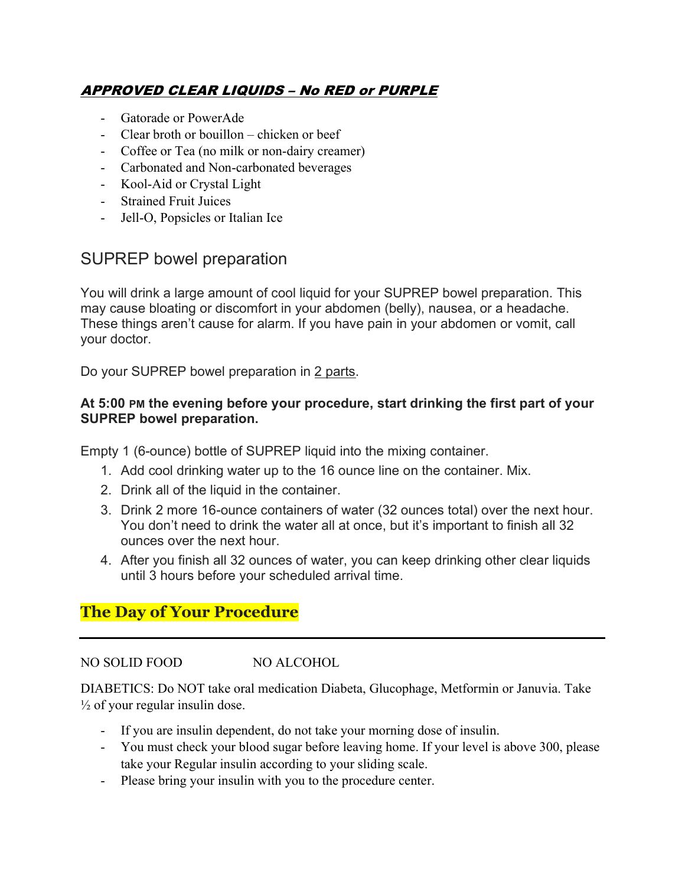## APPROVED CLEAR LIQUIDS – No RED or PURPLE

- Gatorade or PowerAde
- Clear broth or bouillon chicken or beef
- Coffee or Tea (no milk or non-dairy creamer)
- Carbonated and Non-carbonated beverages
- Kool-Aid or Crystal Light
- Strained Fruit Juices
- Jell-O, Popsicles or Italian Ice

## SUPREP bowel preparation

You will drink a large amount of cool liquid for your SUPREP bowel preparation. This may cause bloating or discomfort in your abdomen (belly), nausea, or a headache. These things aren't cause for alarm. If you have pain in your abdomen or vomit, call your doctor.

Do your SUPREP bowel preparation in 2 parts.

#### At 5:00 PM the evening before your procedure, start drinking the first part of your SUPREP bowel preparation.

Empty 1 (6-ounce) bottle of SUPREP liquid into the mixing container.

- 1. Add cool drinking water up to the 16 ounce line on the container. Mix.
- 2. Drink all of the liquid in the container.
- 3. Drink 2 more 16-ounce containers of water (32 ounces total) over the next hour. You don't need to drink the water all at once, but it's important to finish all 32 ounces over the next hour.
- 4. After you finish all 32 ounces of water, you can keep drinking other clear liquids until 3 hours before your scheduled arrival time.

## The Day of Your Procedure

#### NO SOLID FOOD NO ALCOHOL

DIABETICS: Do NOT take oral medication Diabeta, Glucophage, Metformin or Januvia. Take  $\frac{1}{2}$  of your regular insulin dose.

- If you are insulin dependent, do not take your morning dose of insulin.
- You must check your blood sugar before leaving home. If your level is above 300, please take your Regular insulin according to your sliding scale.
- Please bring your insulin with you to the procedure center.